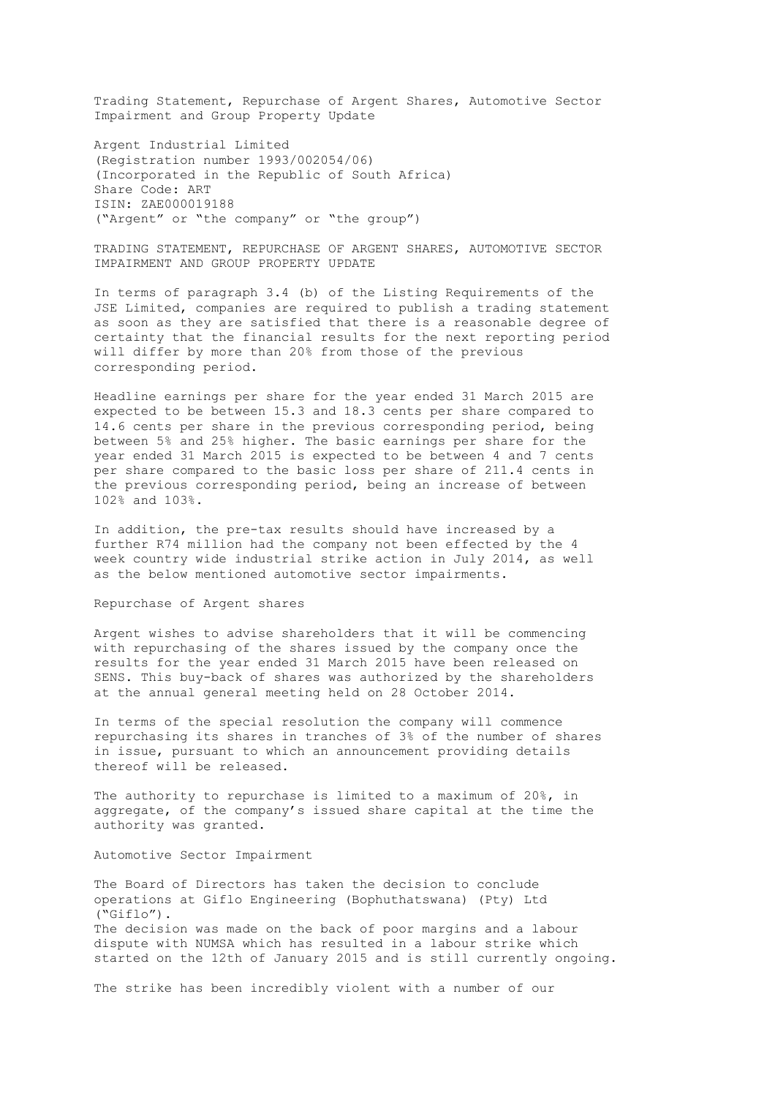Trading Statement, Repurchase of Argent Shares, Automotive Sector Impairment and Group Property Update

Argent Industrial Limited (Registration number 1993/002054/06) (Incorporated in the Republic of South Africa) Share Code: ART ISIN: ZAE000019188 ("Argent" or "the company" or "the group")

TRADING STATEMENT, REPURCHASE OF ARGENT SHARES, AUTOMOTIVE SECTOR IMPAIRMENT AND GROUP PROPERTY UPDATE

In terms of paragraph 3.4 (b) of the Listing Requirements of the JSE Limited, companies are required to publish a trading statement as soon as they are satisfied that there is a reasonable degree of certainty that the financial results for the next reporting period will differ by more than 20% from those of the previous corresponding period.

Headline earnings per share for the year ended 31 March 2015 are expected to be between 15.3 and 18.3 cents per share compared to 14.6 cents per share in the previous corresponding period, being between 5% and 25% higher. The basic earnings per share for the year ended 31 March 2015 is expected to be between 4 and 7 cents per share compared to the basic loss per share of 211.4 cents in the previous corresponding period, being an increase of between 102% and 103%.

In addition, the pre-tax results should have increased by a further R74 million had the company not been effected by the 4 week country wide industrial strike action in July 2014, as well as the below mentioned automotive sector impairments.

## Repurchase of Argent shares

Argent wishes to advise shareholders that it will be commencing with repurchasing of the shares issued by the company once the results for the year ended 31 March 2015 have been released on SENS. This buy-back of shares was authorized by the shareholders at the annual general meeting held on 28 October 2014.

In terms of the special resolution the company will commence repurchasing its shares in tranches of 3% of the number of shares in issue, pursuant to which an announcement providing details thereof will be released.

The authority to repurchase is limited to a maximum of 20%, in aggregate, of the company's issued share capital at the time the authority was granted.

Automotive Sector Impairment

The Board of Directors has taken the decision to conclude operations at Giflo Engineering (Bophuthatswana) (Pty) Ltd ("Giflo"). The decision was made on the back of poor margins and a labour dispute with NUMSA which has resulted in a labour strike which started on the 12th of January 2015 and is still currently ongoing.

The strike has been incredibly violent with a number of our